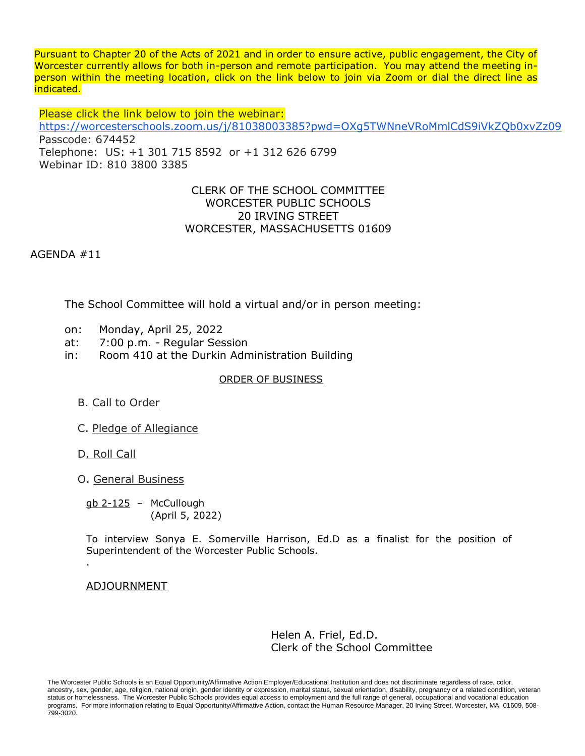Pursuant to Chapter 20 of the Acts of 2021 and in order to ensure active, public engagement, the City of Worcester currently allows for both in-person and remote participation. You may attend the meeting inperson within the meeting location, click on the link below to join via Zoom or dial the direct line as indicated.

Please click the link below to join the webinar: <https://worcesterschools.zoom.us/j/81038003385?pwd=OXg5TWNneVRoMmlCdS9iVkZQb0xvZz09> Passcode: 674452 Telephone: US: +1 301 715 8592 or +1 312 626 6799 Webinar ID: 810 3800 3385

## CLERK OF THE SCHOOL COMMITTEE WORCESTER PUBLIC SCHOOLS 20 IRVING STREET WORCESTER, MASSACHUSETTS 01609

AGENDA #11

The School Committee will hold a virtual and/or in person meeting:

- on: Monday, April 25, 2022
- at: 7:00 p.m. Regular Session
- in: Room 410 at the Durkin Administration Building

## ORDER OF BUSINESS

- B. Call to Order
- C. Pledge of Allegiance
- D. Roll Call

.

O. General Business

gb 2-125 – McCullough (April 5, 2022)

To interview Sonya E. Somerville Harrison, Ed.D as a finalist for the position of Superintendent of the Worcester Public Schools.

ADJOURNMENT

Helen A. Friel, Ed.D. Clerk of the School Committee

The Worcester Public Schools is an Equal Opportunity/Affirmative Action Employer/Educational Institution and does not discriminate regardless of race, color, ancestry, sex, gender, age, religion, national origin, gender identity or expression, marital status, sexual orientation, disability, pregnancy or a related condition, veteran status or homelessness. The Worcester Public Schools provides equal access to employment and the full range of general, occupational and vocational education programs. For more information relating to Equal Opportunity/Affirmative Action, contact the Human Resource Manager, 20 Irving Street, Worcester, MA 01609, 508-799-3020.